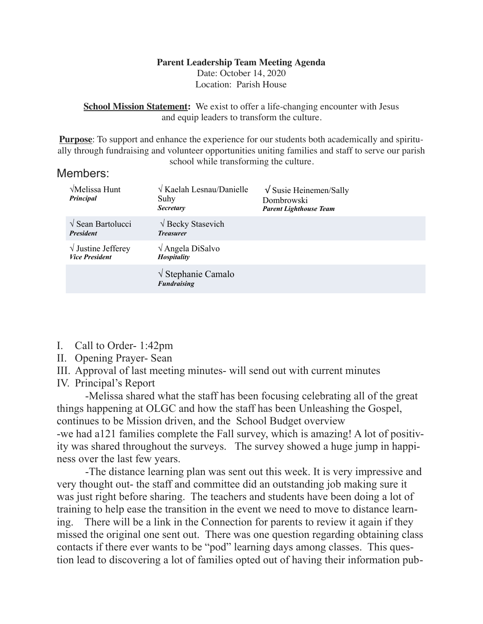## **Parent Leadership Team Meeting Agenda**

Date: October 14, 2020 Location: Parish House

**School Mission Statement:** We exist to offer a life-changing encounter with Jesus and equip leaders to transform the culture.

**Purpose**: To support and enhance the experience for our students both academically and spiritually through fundraising and volunteer opportunities uniting families and staff to serve our parish school while transforming the culture.

## Members:

| $\sqrt{\text{Melissa Hunt}}$<br>Principal           | $\sqrt{K$ aelah Lesnau/Danielle<br>Suhy<br><b>Secretary</b> | $\sqrt{\text{Susie Heinem}}$ Sally<br>Dombrowski<br><b>Parent Lighthouse Team</b> |  |
|-----------------------------------------------------|-------------------------------------------------------------|-----------------------------------------------------------------------------------|--|
| $\sqrt{\text{Sean Bartolucci}}$<br><b>President</b> | $\sqrt{\text{Becky}}$ Stasevich<br><b>Treasurer</b>         |                                                                                   |  |
| $\sqrt{}$ Justine Jefferey<br><b>Vice President</b> | $\sqrt{\text{Angle}}$ DiSalvo<br>Hospitality                |                                                                                   |  |
|                                                     | $\sqrt{\text{Stephanic}}$ Camalo<br><b>Fundraising</b>      |                                                                                   |  |

- I. Call to Order- 1:42pm
- II. Opening Prayer- Sean
- III. Approval of last meeting minutes- will send out with current minutes
- IV. Principal's Report

 -Melissa shared what the staff has been focusing celebrating all of the great things happening at OLGC and how the staff has been Unleashing the Gospel, continues to be Mission driven, and the School Budget overview -we had a121 families complete the Fall survey, which is amazing! A lot of positivity was shared throughout the surveys. The survey showed a huge jump in happiness over the last few years.

 -The distance learning plan was sent out this week. It is very impressive and very thought out- the staff and committee did an outstanding job making sure it was just right before sharing. The teachers and students have been doing a lot of training to help ease the transition in the event we need to move to distance learning. There will be a link in the Connection for parents to review it again if they missed the original one sent out. There was one question regarding obtaining class contacts if there ever wants to be "pod" learning days among classes. This question lead to discovering a lot of families opted out of having their information pub-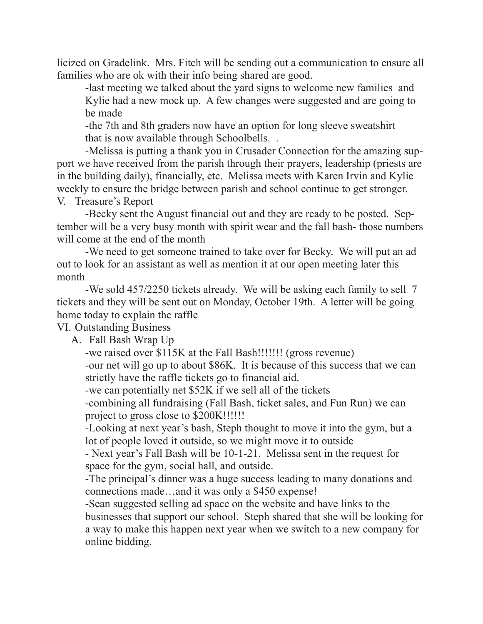licized on Gradelink. Mrs. Fitch will be sending out a communication to ensure all families who are ok with their info being shared are good.

 -last meeting we talked about the yard signs to welcome new families and Kylie had a new mock up. A few changes were suggested and are going to be made

 -the 7th and 8th graders now have an option for long sleeve sweatshirt that is now available through Schoolbells. .

 -Melissa is putting a thank you in Crusader Connection for the amazing support we have received from the parish through their prayers, leadership (priests are in the building daily), financially, etc. Melissa meets with Karen Irvin and Kylie weekly to ensure the bridge between parish and school continue to get stronger.

V. Treasure's Report

 -Becky sent the August financial out and they are ready to be posted. September will be a very busy month with spirit wear and the fall bash- those numbers will come at the end of the month

 -We need to get someone trained to take over for Becky. We will put an ad out to look for an assistant as well as mention it at our open meeting later this month

 -We sold 457/2250 tickets already. We will be asking each family to sell 7 tickets and they will be sent out on Monday, October 19th. A letter will be going home today to explain the raffle

VI. Outstanding Business

A. Fall Bash Wrap Up

-we raised over \$115K at the Fall Bash!!!!!!! (gross revenue)

 -our net will go up to about \$86K. It is because of this success that we can strictly have the raffle tickets go to financial aid.

-we can potentially net \$52K if we sell all of the tickets

 -combining all fundraising (Fall Bash, ticket sales, and Fun Run) we can project to gross close to \$200K!!!!!!

 -Looking at next year's bash, Steph thought to move it into the gym, but a lot of people loved it outside, so we might move it to outside

 - Next year's Fall Bash will be 10-1-21. Melissa sent in the request for space for the gym, social hall, and outside.

 -The principal's dinner was a huge success leading to many donations and connections made…and it was only a \$450 expense!

 -Sean suggested selling ad space on the website and have links to the businesses that support our school. Steph shared that she will be looking for a way to make this happen next year when we switch to a new company for online bidding.